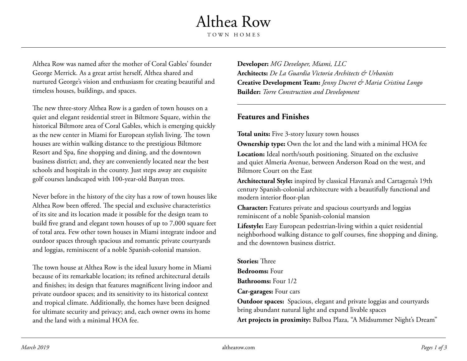## Althea Row TOWN HOMES

Althea Row was named after the mother of Coral Gables' founder George Merrick. As a great artist herself, Althea shared and nurtured George's vision and enthusiasm for creating beautiful and timeless houses, buildings, and spaces.

The new three-story Althea Row is a garden of town houses on a quiet and elegant residential street in Biltmore Square, within the historical Biltmore area of Coral Gables, which is emerging quickly as the new center in Miami for European stylish living. The town houses are within walking distance to the prestigious Biltmore Resort and Spa, fine shopping and dining, and the downtown business district; and, they are conveniently located near the best schools and hospitals in the county. Just steps away are exquisite golf courses landscaped with 100-year-old Banyan trees.

Never before in the history of the city has a row of town houses like Althea Row been offered. The special and exclusive characteristics of its site and its location made it possible for the design team to build five grand and elegant town houses of up to 7,000 square feet of total area. Few other town houses in Miami integrate indoor and outdoor spaces through spacious and romantic private courtyards and loggias, reminiscent of a noble Spanish-colonial mansion.

The town house at Althea Row is the ideal luxury home in Miami because of its remarkable location; its refined architectural details and finishes; its design that features magnificent living indoor and private outdoor spaces; and its sensitivity to its historical context and tropical climate. Additionally, the homes have been designed for ultimate security and privacy; and, each owner owns its home and the land with a minimal HOA fee.

**Developer:** *MG Developer, Miami, LLC* **Architects:** *De La Guardia Victoria Architects & Urbanists* **Creative Development Team:** *Jenny Ducret & Maria Cristina Longo* **Builder:** *Torre Construction and Development*

## **Features and Finishes**

**Total units:** Five 3-story luxury town houses

**Ownership type:** Own the lot and the land with a minimal HOA fee **Location:** Ideal north/south positioning. Situated on the exclusive and quiet Almeria Avenue, between Anderson Road on the west, and Biltmore Court on the East

**Architectural Style:** inspired by classical Havana's and Cartagena's 19th century Spanish-colonial architecture with a beautifully functional and modern interior floor-plan

**Character:** Features private and spacious courtyards and loggias reminiscent of a noble Spanish-colonial mansion

Lifestyle: Easy European pedestrian-living within a quiet residential neighborhood walking distance to golf courses, fine shopping and dining, and the downtown business district.

**Stories:** Three **Bedrooms:** Four **Bathrooms:** Four 1/2 **Car-garages:** Four cars

**Outdoor spaces:** Spacious, elegant and private loggias and courtyards bring abundant natural light and expand livable spaces

**Art projects in proximity:** Balboa Plaza, "A Midsummer Night's Dream"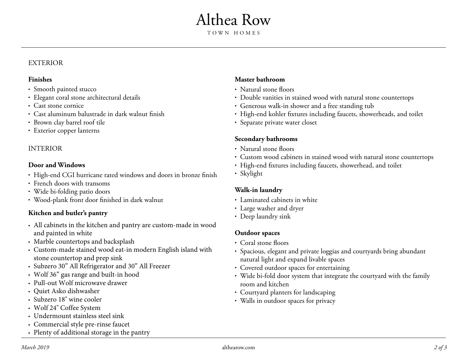# Althea Row

#### EXTERIOR

#### **Finishes**

- Smooth painted stucco
- Elegant coral stone architectural details
- Cast stone cornice
- Cast aluminum balustrade in dark walnut finish
- Brown clay barrel roof tile
- Exterior copper lanterns

## INTERIOR

## **Door and Windows**

- High-end CGI hurricane rated windows and doors in bronze finish
- French doors with transoms
- Wide bi-folding patio doors
- Wood-plank front door finished in dark walnut

## **Kitchen and butler's pantry**

- All cabinets in the kitchen and pantry are custom-made in wood and painted in white
- Marble countertops and backsplash
- Custom-made stained wood eat-in modern English island with stone countertop and prep sink
- Subzero 30" All Refrigerator and 30" All Freezer
- Wolf 36" gas range and built-in hood
- Pull-out Wolf microwave drawer
- Quiet Asko dishwasher
- Subzero 18" wine cooler
- Wolf 24" Coffee System
- Undermount stainless steel sink
- Commercial style pre-rinse faucet
- Plenty of additional storage in the pantry

## **Master bathroom**

- Natural stone floors
- Double vanities in stained wood with natural stone countertops
- Generous walk-in shower and a free standing tub
- High-end kohler fixtures including faucets, showerheads, and toilet
- Separate private water closet

## **Secondary bathrooms**

- Natural stone floors
- Custom wood cabinets in stained wood with natural stone countertops
- High-end fixtures including faucets, showerhead, and toilet
- Skylight

## **Walk-in laundry**

- Laminated cabinets in white
- Large washer and dryer
- Deep laundry sink

### **Outdoor spaces**

- Coral stone floors
- Spacious, elegant and private loggias and courtyards bring abundant • • natural light and expand livable spaces
- Covered outdoor spaces for entertaining
- Wide bi-fold door system that integrate the courtyard with the family • room and kitchen
- Courtyard planters for landscaping
- Walls in outdoor spaces for privacy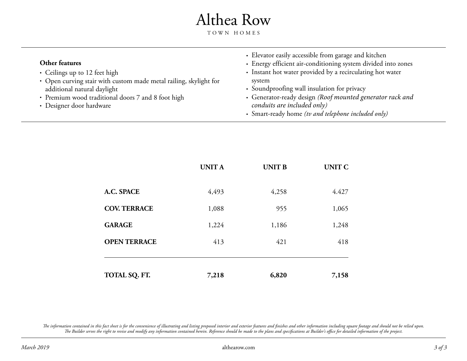# Althea Row

TOWN HOMES

| Other features<br>• Ceilings up to 12 feet high<br>• Open curving stair with custom made metal railing, skylight for<br>additional natural daylight<br>• Premium wood traditional doors 7 and 8 foot high | • Elevator easily accessible from garage and kitchen<br>• Energy efficient air-conditioning system divided into zones<br>• Instant hot water provided by a recirculating hot water<br>system<br>• Soundproofing wall insulation for privacy<br>• Generator-ready design (Roof mounted generator rack and |
|-----------------------------------------------------------------------------------------------------------------------------------------------------------------------------------------------------------|----------------------------------------------------------------------------------------------------------------------------------------------------------------------------------------------------------------------------------------------------------------------------------------------------------|
| • Designer door hardware                                                                                                                                                                                  | conduits are included only)<br>• Smart-ready home (tv and telephone included only)                                                                                                                                                                                                                       |

|                     | <b>UNITA</b> | <b>UNIT B</b> | <b>UNIT C</b> |
|---------------------|--------------|---------------|---------------|
| A.C. SPACE          | 4,493        | 4,258         | 4.427         |
| <b>COV. TERRACE</b> | 1,088        | 955           | 1,065         |
| <b>GARAGE</b>       | 1,224        | 1,186         | 1,248         |
| <b>OPEN TERRACE</b> | 413          | 421           | 418           |
| TOTAL SQ. FT.       | 7,218        | 6,820         | 7,158         |

The information contained in this fact sheet is for the convenience of illustrating and listing proposed interior and exterior features and finishes and other information including square footage and should not be relied u *The Builder serves the right to revise and modify any information contained herein. Reference should be made to the plans and specifications at Builder's office for detailed information of the project.*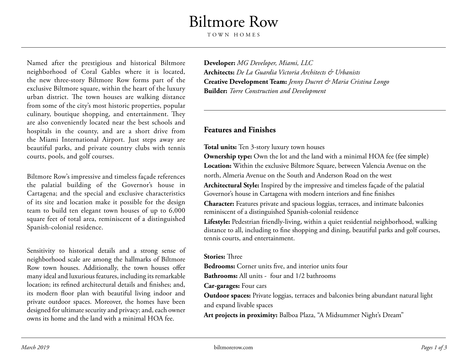## Biltmore Row

TOWN HOMES

Named after the prestigious and historical Biltmore neighborhood of Coral Gables where it is located, the new three-story Biltmore Row forms part of the exclusive Biltmore square, within the heart of the luxury urban district. The town houses are walking distance from some of the city's most historic properties, popular culinary, boutique shopping, and entertainment. They are also conveniently located near the best schools and hospitals in the county, and are a short drive from the Miami International Airport. Just steps away are beautiful parks, and private country clubs with tennis courts, pools, and golf courses.

Biltmore Row's impressive and timeless façade references the palatial building of the Governor's house in Cartagena; and the special and exclusive characteristics of its site and location make it possible for the design team to build ten elegant town houses of up to 6,000 square feet of total area, reminiscent of a distinguished Spanish-colonial residence.

Sensitivity to historical details and a strong sense of neighborhood scale are among the hallmarks of Biltmore Row town houses. Additionally, the town houses offer many ideal and luxurious features, including its remarkable location; its refined architectural details and finishes; and, its modern floor plan with beautiful living indoor and private outdoor spaces. Moreover, the homes have been designed for ultimate security and privacy; and, each owner owns its home and the land with a minimal HOA fee.

**Developer:** *MG Developer, Miami, LLC* **Architects:** *De La Guardia Victoria Architects & Urbanists* **Creative Development Team:** *Jenny Ducret & Maria Cristina Longo* **Builder:** *Torre Construction and Development*

## **Features and Finishes**

#### **Total units:** Ten 3-story luxury town houses

**Ownership type:** Own the lot and the land with a minimal HOA fee (fee simple) **Location:** Within the exclusive Biltmore Square, between Valencia Avenue on the north, Almeria Avenue on the South and Anderson Road on the west

**Architectural Style:** Inspired by the impressive and timeless façade of the palatial Governor's house in Cartagena with modern interiors and fine finishes

**Character:** Features private and spacious loggias, terraces, and intimate balconies reminiscent of a distinguished Spanish-colonial residence

**Lifestyle:** Pedestrian friendly-living, within a quiet residential neighborhood, walking distance to all, including to fine shopping and dining, beautiful parks and golf courses, tennis courts, and entertainment.

#### **Stories:** Three

**Bedrooms:** Corner units five, and interior units four

**Bathrooms:** All units - four and 1/2 bathrooms

**Car-garages:** Four cars

**Outdoor spaces:** Private loggias, terraces and balconies bring abundant natural light and expand livable spaces

**Art projects in proximity:** Balboa Plaza, "A Midsummer Night's Dream"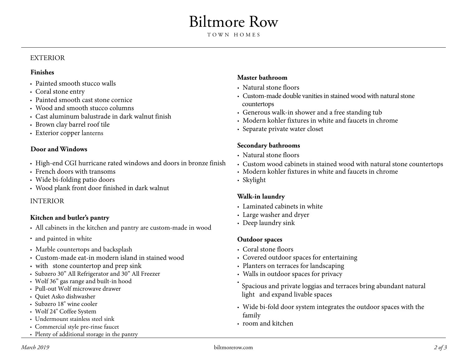## Biltmore Row

#### EXTERIOR

#### **Finishes**

- Painted smooth stucco walls
- Coral stone entry
- Painted smooth cast stone cornice
- Wood and smooth stucco columns
- Cast aluminum balustrade in dark walnut finish
- Brown clay barrel roof tile
- Exterior copper lanterns

### **Door and Windows**

- High-end CGI hurricane rated windows and doors in bronze finish
- French doors with transoms
- Wide bi-folding patio doors
- Wood plank front door finished in dark walnut

### INTERIOR

## **Kitchen and butler's pantry**

- All cabinets in the kitchen and pantry are custom-made in wood
- and painted in white
- Marble countertops and backsplash
- Custom-made eat-in modern island in stained wood
- with stone countertop and prep sink
- Subzero 30" All Refrigerator and 30" All Freezer
- Wolf 36" gas range and built-in hood
- Pull-out Wolf microwave drawer
- Quiet Asko dishwasher
- Subzero 18" wine cooler
- Wolf 24" Coffee System
- Undermount stainless steel sink
- Commercial style pre-rinse faucet
- Plenty of additional storage in the pantry

## **Master bathroom**

- Natural stone floors
- Custom-made double vanities in stained wood with natural stone countertops
- Generous walk-in shower and a free standing tub
- Modern kohler fixtures in white and faucets in chrome
- Separate private water closet

### **Secondary bathrooms**

- Natural stone floors
- Custom wood cabinets in stained wood with natural stone countertops
- Modern kohler fixtures in white and faucets in chrome
- Skylight

## **Walk-in laundry**

- Laminated cabinets in white
- Large washer and dryer
- Deep laundry sink

## **Outdoor spaces**

- Coral stone floors
- Covered outdoor spaces for entertaining
- Planters on terraces for landscaping
- Walls in outdoor spaces for privacy
- Spacious and private loggias and terraces bring abundant natural light and expand livable spaces
- Wide bi-fold door system integrates the outdoor spaces with the family
- room and kitchen

•